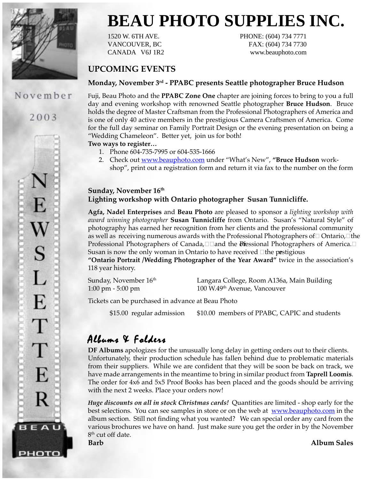

November

2003

E

S

L

E

Т

Т

E

R

BEAU

рното

# **BEAU PHOTO SUPPLIES INC.**

1520 W. 6TH AVE. PHONE: (604) 734 7771 VANCOUVER, BC FAX: (604) 734 7730 CANADA V6J 1R2 www.beauphoto.com

### **UPCOMING EVENTS**

#### **Monday, November 3rd - PPABC presents Seattle photographer Bruce Hudson**

Fuji, Beau Photo and the **PPABC Zone One** chapter are joining forces to bring to you a full day and evening workshop with renowned Seattle photographer **Bruce Hudson**. Bruce holds the degree of Master Craftsman from the Professional Photographers of America and is one of only 40 active members in the prestigious Camera Craftsmen of America. Come for the full day seminar on Family Portrait Design or the evening presentation on being a "Wedding Chameleon". Better yet, join us for both!

**Two ways to register…**

- 1. Phone 604-735-7995 or 604-535-1666
- 2. Check out www.beauphoto.com under "What's New", **"Bruce Hudson** workshop", print out a registration form and return it via fax to the number on the form

#### **Sunday, November 16th Lighting workshop with Ontario photographer Susan Tunnicliffe.**

**Agfa, Nadel Enterprises** and **Beau Photo** are pleased to sponsor a *lighting workshop with award winning photographer* **Susan Tunnicliffe** from Ontario. Susan's "Natural Style" of photography has earned her recognition from her clients and the professional community as well as receiving numerous awards with the Professional Photographers of $\Box$  Ontario, $\Box$ the Professional Photographers of Canada, $\Box$  and the Difessional Photographers of America. $\Box$ Susan is now the only woman in Ontario to have received  $\Box$  the pastigious **"Ontario Portrait /Wedding Photographer of the Year Award"** twice in the association's 118 year history.

Sunday, November 16<sup>th</sup> Langara College, Room A136a, Main Building 1:00 pm - 5:00 pm 100 W.49th Avenue, Vancouver

Tickets can be purchased in advance at Beau Photo

\$15.00 regular admission \$10.00 members of PPABC, CAPIC and students

## Albums  $&$  Folders

**DF Albums** apologizes for the unusually long delay in getting orders out to their clients. Unfortunately, their production schedule has fallen behind due to problematic materials from their suppliers. While we are confident that they will be soon be back on track, we have made arrangements in the meantime to bring in similar product from **Taprell Loomis**. The order for 4x6 and 5x5 Proof Books has been placed and the goods should be arriving with the next 2 weeks. Place your orders now!

*Huge discounts on all in stock Christmas cards!* Quantities are limited - shop early for the best selections. You can see samples in store or on the web at www.beauphoto.com in the album section. Still not finding what you wanted? We can special order any card from the various brochures we have on hand. Just make sure you get the order in by the November 8<sup>th</sup> cut off date.

**Barb Album Sales**